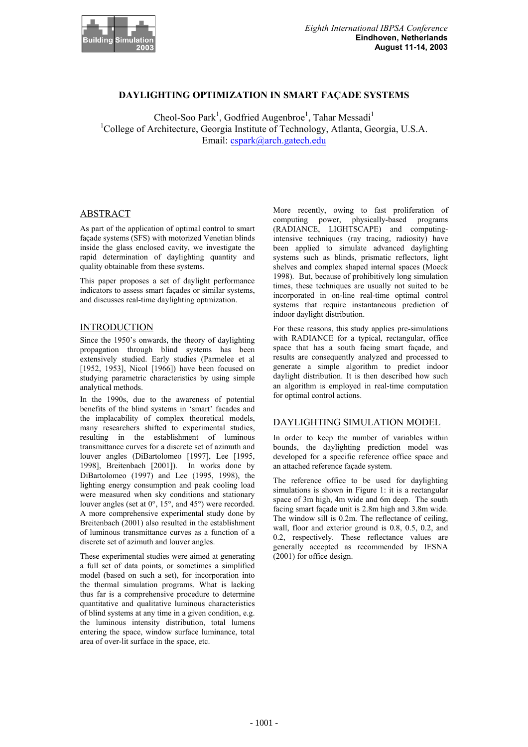

# **DAYLIGHTING OPTIMIZATION IN SMART FAÇADE SYSTEMS**

Cheol-Soo Park<sup>1</sup>, Godfried Augenbroe<sup>1</sup>, Tahar Messadi<sup>1</sup> <sup>1</sup>College of Architecture, Georgia Institute of Technology, Atlanta, Georgia, U.S.A. Email: cspark@arch.gatech.edu

### ABSTRACT

As part of the application of optimal control to smart façade systems (SFS) with motorized Venetian blinds inside the glass enclosed cavity, we investigate the rapid determination of daylighting quantity and quality obtainable from these systems.

This paper proposes a set of daylight performance indicators to assess smart façades or similar systems, and discusses real-time daylighting optmization.

## INTRODUCTION

Since the 1950's onwards, the theory of daylighting propagation through blind systems has been extensively studied. Early studies (Parmelee et al [1952, 1953], Nicol [1966]) have been focused on studying parametric characteristics by using simple analytical methods.

In the 1990s, due to the awareness of potential benefits of the blind systems in 'smart' facades and the implacability of complex theoretical models, many researchers shifted to experimental studies, resulting in the establishment of luminous transmittance curves for a discrete set of azimuth and louver angles (DiBartolomeo [1997], Lee [1995, 1998], Breitenbach [2001]). In works done by DiBartolomeo (1997) and Lee (1995, 1998), the lighting energy consumption and peak cooling load were measured when sky conditions and stationary louver angles (set at 0°, 15°, and 45°) were recorded. A more comprehensive experimental study done by Breitenbach (2001) also resulted in the establishment of luminous transmittance curves as a function of a discrete set of azimuth and louver angles.

These experimental studies were aimed at generating a full set of data points, or sometimes a simplified model (based on such a set), for incorporation into the thermal simulation programs. What is lacking thus far is a comprehensive procedure to determine quantitative and qualitative luminous characteristics of blind systems at any time in a given condition, e.g. the luminous intensity distribution, total lumens entering the space, window surface luminance, total area of over-lit surface in the space, etc.

More recently, owing to fast proliferation of computing power, physically-based programs (RADIANCE, LIGHTSCAPE) and computingintensive techniques (ray tracing, radiosity) have been applied to simulate advanced daylighting systems such as blinds, prismatic reflectors, light shelves and complex shaped internal spaces (Moeck 1998). But, because of prohibitively long simulation times, these techniques are usually not suited to be incorporated in on-line real-time optimal control systems that require instantaneous prediction of indoor daylight distribution.

For these reasons, this study applies pre-simulations with RADIANCE for a typical, rectangular, office space that has a south facing smart façade, and results are consequently analyzed and processed to generate a simple algorithm to predict indoor daylight distribution. It is then described how such an algorithm is employed in real-time computation for optimal control actions.

### DAYLIGHTING SIMULATION MODEL

In order to keep the number of variables within bounds, the daylighting prediction model was developed for a specific reference office space and an attached reference façade system.

The reference office to be used for daylighting simulations is shown in Figure 1: it is a rectangular space of 3m high, 4m wide and 6m deep. The south facing smart façade unit is 2.8m high and 3.8m wide. The window sill is 0.2m. The reflectance of ceiling, wall, floor and exterior ground is 0.8, 0.5, 0.2, and 0.2, respectively. These reflectance values are generally accepted as recommended by IESNA (2001) for office design.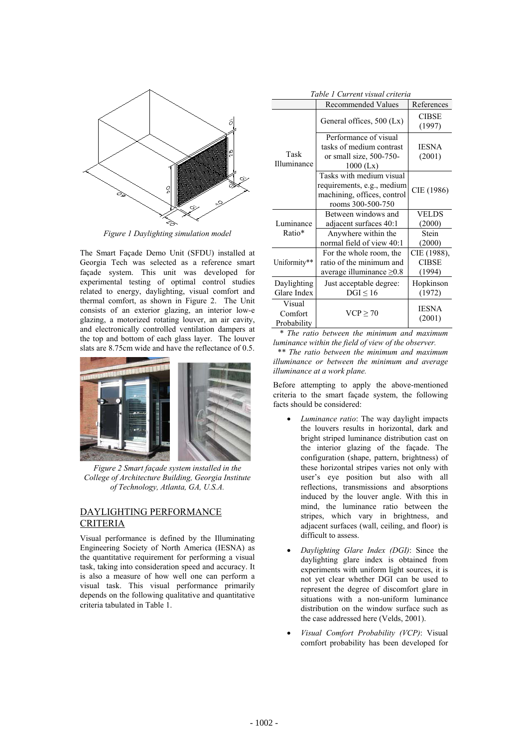

*Figure 1 Daylighting simulation model* 

The Smart Façade Demo Unit (SFDU) installed at Georgia Tech was selected as a reference smart façade system. This unit was developed for experimental testing of optimal control studies related to energy, daylighting, visual comfort and thermal comfort, as shown in Figure 2. The Unit consists of an exterior glazing, an interior low-e glazing, a motorized rotating louver, an air cavity, and electronically controlled ventilation dampers at the top and bottom of each glass layer. The louver slats are 8.75cm wide and have the reflectance of 0.5.



*Figure 2 Smart façade system installed in the College of Architecture Building, Georgia Institute of Technology, Atlanta, GA, U.S.A.* 

# DAYLIGHTING PERFORMANCE CRITERIA

Visual performance is defined by the Illuminating Engineering Society of North America (IESNA) as the quantitative requirement for performing a visual task, taking into consideration speed and accuracy. It is also a measure of how well one can perform a visual task. This visual performance primarily depends on the following qualitative and quantitative criteria tabulated in Table 1.

| Table I Current visual criteria  |                                                                                                            |                                       |  |  |  |  |  |
|----------------------------------|------------------------------------------------------------------------------------------------------------|---------------------------------------|--|--|--|--|--|
|                                  | <b>Recommended Values</b>                                                                                  | References                            |  |  |  |  |  |
|                                  | General offices, 500 (Lx)                                                                                  | <b>CIBSE</b><br>(1997)                |  |  |  |  |  |
| Task<br>Illuminance              | Performance of visual<br>tasks of medium contrast<br>or small size, $500-750-$<br>$1000$ (Lx)              | <b>IESNA</b><br>(2001)                |  |  |  |  |  |
|                                  | Tasks with medium visual<br>requirements, e.g., medium<br>machining, offices, control<br>rooms 300-500-750 | CIE (1986)                            |  |  |  |  |  |
|                                  | Between windows and                                                                                        | <b>VELDS</b>                          |  |  |  |  |  |
| Luminance                        | adjacent surfaces 40:1                                                                                     | (2000)                                |  |  |  |  |  |
| Ratio*                           | Anywhere within the<br>normal field of view 40:1                                                           | Stein<br>(2000)                       |  |  |  |  |  |
| Uniformity**                     | For the whole room, the<br>ratio of the minimum and<br>average illuminance $\geq 0.8$                      | CIE (1988),<br><b>CIBSE</b><br>(1994) |  |  |  |  |  |
| Daylighting<br>Glare Index       | Just acceptable degree:<br>$DGI \le 16$                                                                    | Hopkinson<br>(1972)                   |  |  |  |  |  |
| Visual<br>Comfort<br>Probability | $VCP \geq 70$                                                                                              | <b>IESNA</b><br>(2001)                |  |  |  |  |  |

*Table 1 Current visual criteria* 

 *\* The ratio between the minimum and maximum luminance within the field of view of the observer.* 

 *\*\* The ratio between the minimum and maximum illuminance or between the minimum and average illuminance at a work plane.* 

Before attempting to apply the above-mentioned criteria to the smart façade system, the following facts should be considered:

- *Luminance ratio*: The way daylight impacts the louvers results in horizontal, dark and bright striped luminance distribution cast on the interior glazing of the façade. The configuration (shape, pattern, brightness) of these horizontal stripes varies not only with user's eye position but also with all reflections, transmissions and absorptions induced by the louver angle. With this in mind, the luminance ratio between the stripes, which vary in brightness, and adjacent surfaces (wall, ceiling, and floor) is difficult to assess.
- x *Daylighting Glare Index (DGI)*: Since the daylighting glare index is obtained from experiments with uniform light sources, it is not yet clear whether DGI can be used to represent the degree of discomfort glare in situations with a non-uniform luminance distribution on the window surface such as the case addressed here (Velds, 2001).
- x *Visual Comfort Probability (VCP)*: Visual comfort probability has been developed for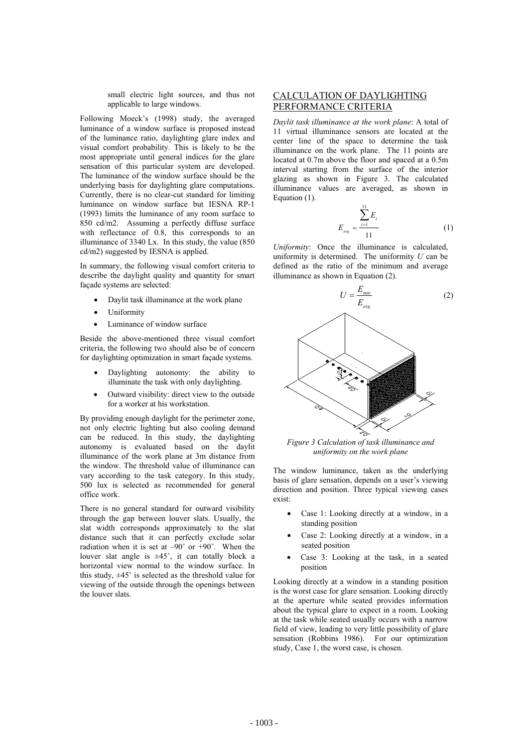small electric light sources, and thus not applicable to large windows.

Following Moeck's (1998) study, the averaged luminance of a window surface is proposed instead of the luminance ratio, daylighting glare index and visual comfort probability. This is likely to be the most appropriate until general indices for the glare sensation of this particular system are developed. The luminance of the window surface should be the underlying basis for daylighting glare computations. Currently, there is no clear-cut standard for limiting luminance on window surface but IESNA RP-1 (1993) limits the luminance of any room surface to 850 cd/m2. Assuming a perfectly diffuse surface with reflectance of 0.8, this corresponds to an illuminance of 3340 Lx. In this study, the value (850 cd/m2) suggested by IESNA is applied.

In summary, the following visual comfort criteria to describe the daylight quality and quantity for smart façade systems are selected:

- Daylit task illuminance at the work plane
- Uniformity
- Luminance of window surface

Beside the above-mentioned three visual comfort criteria, the following two should also be of concern for daylighting optimization in smart façade systems.

- Daylighting autonomy: the ability to illuminate the task with only daylighting.
- Outward visibility: direct view to the outside for a worker at his workstation.

By providing enough daylight for the perimeter zone, not only electric lighting but also cooling demand can be reduced. In this study, the daylighting autonomy is evaluated based on the daylit illuminance of the work plane at 3m distance from the window. The threshold value of illuminance can vary according to the task category. In this study, 500 lux is selected as recommended for general office work.

There is no general standard for outward visibility through the gap between louver slats. Usually, the slat width corresponds approximately to the slat distance such that it can perfectly exclude solar radiation when it is set at  $-90^\circ$  or  $+90^\circ$ . When the louver slat angle is  $\pm 45^\circ$ , it can totally block a horizontal view normal to the window surface. In this study,  $\pm 45^\circ$  is selected as the threshold value for viewing of the outside through the openings between the louver slats.

## CALCULATION OF DAYLIGHTING PERFORMANCE CRITERIA

*Daylit task illuminance at the work plane*: A total of 11 virtual illuminance sensors are located at the center line of the space to determine the task illuminance on the work plane. The 11 points are located at 0.7m above the floor and spaced at a 0.5m interval starting from the surface of the interior glazing as shown in Figure 3. The calculated illuminance values are averaged, as shown in Equation (1).

$$
E_{\text{avg}} = \frac{\sum_{i=1}^{11} E_i}{11}
$$
 (1)

*Uniformity*: Once the illuminance is calculated, uniformity is determined. The uniformity *U* can be defined as the ratio of the minimum and average illuminance as shown in Equation (2).



*Figure 3 Calculation of task illuminance and uniformity on the work plane* 

The window luminance, taken as the underlying basis of glare sensation, depends on a user's viewing direction and position. Three typical viewing cases exist:

- Case 1: Looking directly at a window, in a standing position
- Case 2: Looking directly at a window, in a seated position
- Case 3: Looking at the task, in a seated position

Looking directly at a window in a standing position is the worst case for glare sensation. Looking directly at the aperture while seated provides information about the typical glare to expect in a room. Looking at the task while seated usually occurs with a narrow field of view, leading to very little possibility of glare sensation (Robbins 1986). For our optimization study, Case 1, the worst case, is chosen.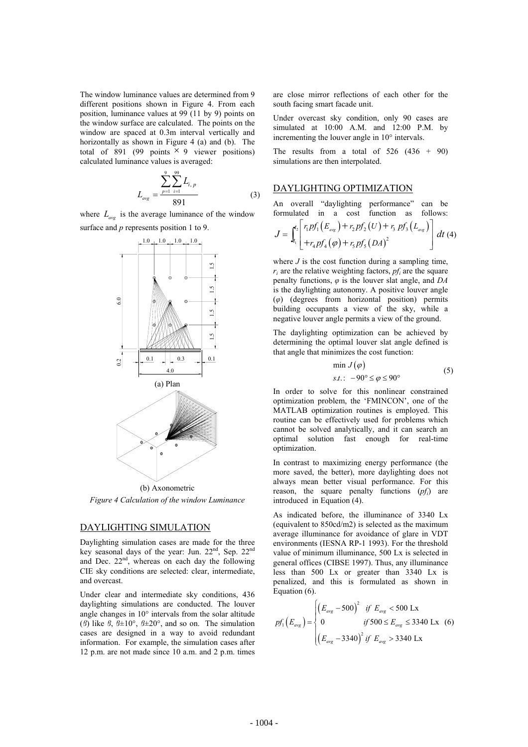The window luminance values are determined from 9 different positions shown in Figure 4. From each position, luminance values at 99 (11 by 9) points on the window surface are calculated. The points on the window are spaced at 0.3m interval vertically and horizontally as shown in Figure 4 (a) and (b). The total of 891 (99 points  $\times$  9 viewer positions) calculated luminance values is averaged:

$$
L_{\text{avg}} = \frac{\sum_{p=1}^{9} \sum_{i=1}^{99} L_{i, p}}{891} \tag{3}
$$

where  $L_{\text{avg}}$  is the average luminance of the window surface and *p* represents position 1 to 9.



*Figure 4 Calculation of the window Luminance* 

#### DAYLIGHTING SIMULATION

Daylighting simulation cases are made for the three key seasonal days of the year: Jun. 22nd, Sep. 22nd and Dec.  $22<sup>nd</sup>$ , whereas on each day the following CIE sky conditions are selected: clear, intermediate, and overcast.

Under clear and intermediate sky conditions, 436 daylighting simulations are conducted. The louver angle changes in 10° intervals from the solar altitude ( $\beta$ ) like  $\beta$ ,  $\beta \pm 10^{\circ}$ ,  $\beta \pm 20^{\circ}$ , and so on. The simulation cases are designed in a way to avoid redundant information. For example, the simulation cases after 12 p.m. are not made since 10 a.m. and 2 p.m. times are close mirror reflections of each other for the south facing smart facade unit.

Under overcast sky condition, only 90 cases are simulated at 10:00 A.M. and 12:00 P.M. by incrementing the louver angle in 10° intervals.

The results from a total of  $526$   $(436 + 90)$ simulations are then interpolated.

### DAYLIGHTING OPTIMIZATION

An overall "daylighting performance" can be formulated in a cost function as follows:

$$
J = \int_{t_1}^{t_2} \left[ \begin{array}{c} r_1 p f_1(E_{\text{avg}}) + r_2 p f_2(U) + r_3 p f_3(L_{\text{avg}}) \\ + r_4 p f_4(\varphi) + r_5 p f_5(DA)^2 \end{array} \right] dt \tag{4}
$$

where  $J$  is the cost function during a sampling time,  $r_i$  are the relative weighting factors,  $pf_i$  are the square penalty functions,  $\varphi$  is the louver slat angle, and *DA* is the daylighting autonomy. A positive louver angle (*ij*) (degrees from horizontal position) permits building occupants a view of the sky, while a negative louver angle permits a view of the ground.

The daylighting optimization can be achieved by determining the optimal louver slat angle defined is that angle that minimizes the cost function:

$$
\min J(\varphi) \ns.t. : -90^{\circ} \le \varphi \le 90^{\circ}
$$
\n(5)

In order to solve for this nonlinear constrained optimization problem, the 'FMINCON', one of the MATLAB optimization routines is employed. This routine can be effectively used for problems which cannot be solved analytically, and it can search an optimal solution fast enough for real-time optimization.

In contrast to maximizing energy performance (the more saved, the better), more daylighting does not always mean better visual performance. For this reason, the square penalty functions (*pfi*) are introduced in Equation (4).

As indicated before, the illuminance of 3340 Lx (equivalent to 850cd/m2) is selected as the maximum average illuminance for avoidance of glare in VDT environments (IESNA RP-1 1993). For the threshold value of minimum illuminance, 500 Lx is selected in general offices (CIBSE 1997). Thus, any illuminance less than 500 Lx or greater than 3340 Lx is penalized, and this is formulated as shown in Equation (6).

$$
pf_1(E_{avg}) = \begin{cases} \left(E_{avg} - 500\right)^2 & \text{if } E_{avg} < 500 \text{ Lx} \\ 0 & \text{if } 500 \le E_{avg} \le 3340 \text{ Lx} \\ \left(E_{avg} - 3340\right)^2 & \text{if } E_{avg} > 3340 \text{ Lx} \end{cases} \tag{6}
$$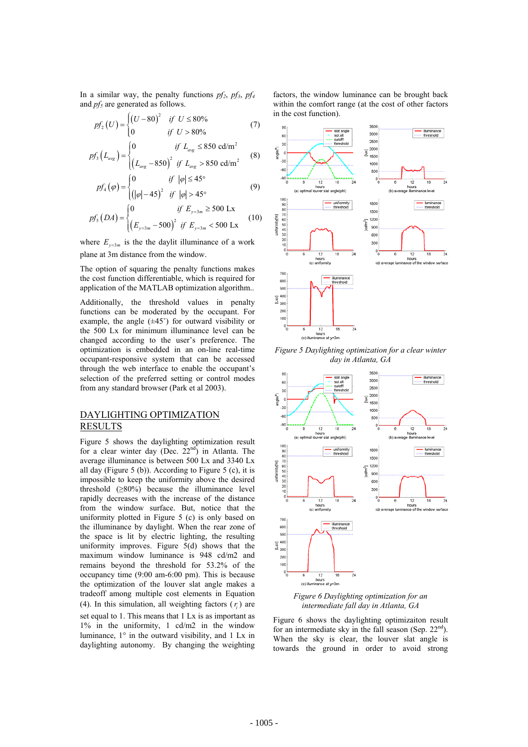In a similar way, the penalty functions  $pf_2$ ,  $pf_3$ ,  $pf_4$ and  $pf<sub>5</sub>$  are generated as follows.

$$
pf_2(U) = \begin{cases} (U - 80)^2 & \text{if } U \le 80\% \\ 0 & \text{if } U > 80\% \end{cases}
$$
 (7)

$$
pf_3(L_{avg}) = \begin{cases} 0 & \text{if } L_{avg} \le 850 \text{ cd/m}^2 \\ \left(L_{avg} - 850\right)^2 & \text{if } L_{avg} > 850 \text{ cd/m}^2 \end{cases}
$$
(8)

$$
pf_{4}(\varphi) = \begin{cases} 0 & \text{if } |\varphi| \le 45^{\circ} \\ (|\varphi| - 45)^{2} & \text{if } |\varphi| > 45^{\circ} \end{cases}
$$
(9)

$$
pf_{5}(DA) = \begin{cases} 0 & \text{if } E_{y=3m} \ge 500 \text{ Lx} \\ \left(E_{y=3m} - 500\right)^{2} & \text{if } E_{y=3m} < 500 \text{ Lx} \end{cases} \tag{10}
$$

where  $E_{y=3m}$  is the the daylit illuminance of a work plane at 3m distance from the window.

The option of squaring the penalty functions makes the cost function differentiable, which is required for application of the MATLAB optimization algorithm..

Additionally, the threshold values in penalty functions can be moderated by the occupant. For example, the angle  $(\pm 45^{\circ})$  for outward visibility or the 500 Lx for minimum illuminance level can be changed according to the user's preference. The optimization is embedded in an on-line real-time occupant-responsive system that can be accessed through the web interface to enable the occupant's selection of the preferred setting or control modes from any standard browser (Park et al 2003).

## DAYLIGHTING OPTIMIZATION **RESULTS**

Figure 5 shows the daylighting optimization result for a clear winter day (Dec.  $22<sup>nd</sup>$ ) in Atlanta. The average illuminance is between 500 Lx and 3340 Lx all day (Figure 5 (b)). According to Figure 5 (c), it is impossible to keep the uniformity above the desired threshold  $(280\%)$  because the illuminance level rapidly decreases with the increase of the distance from the window surface. But, notice that the uniformity plotted in Figure 5 (c) is only based on the illuminance by daylight. When the rear zone of the space is lit by electric lighting, the resulting uniformity improves. Figure 5(d) shows that the maximum window luminance is 948 cd/m2 and remains beyond the threshold for 53.2% of the occupancy time (9:00 am-6:00 pm). This is because the optimization of the louver slat angle makes a tradeoff among multiple cost elements in Equation (4). In this simulation, all weighting factors  $(r<sub>i</sub>)$  are set equal to 1. This means that 1 Lx is as important as 1% in the uniformity, 1 cd/m2 in the window luminance,  $1^\circ$  in the outward visibility, and 1 Lx in daylighting autonomy. By changing the weighting

factors, the window luminance can be brought back within the comfort range (at the cost of other factors in the cost function).



*Figure 5 Daylighting optimization for a clear winter day in Atlanta, GA* 



*Figure 6 Daylighting optimization for an intermediate fall day in Atlanta, GA* 

Figure 6 shows the daylighting optimizaiton result for an intermediate sky in the fall season (Sep.  $22<sup>nd</sup>$ ). When the sky is clear, the louver slat angle is towards the ground in order to avoid strong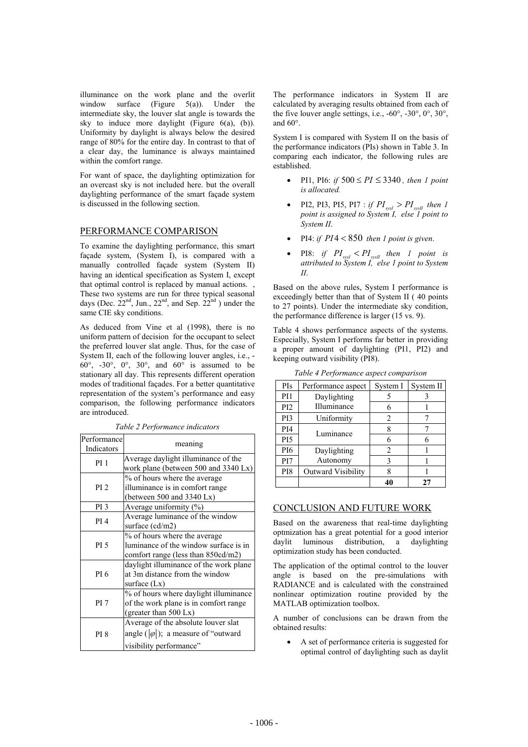illuminance on the work plane and the overlit window surface (Figure 5(a)). Under the intermediate sky, the louver slat angle is towards the sky to induce more daylight (Figure  $6(a)$ ,  $(b)$ ). Uniformity by daylight is always below the desired range of 80% for the entire day. In contrast to that of a clear day, the luminance is always maintained within the comfort range.

For want of space, the daylighting optimization for an overcast sky is not included here. but the overall daylighting performance of the smart façade system is discussed in the following section.

# PERFORMANCE COMPARISON

To examine the daylighting performance, this smart façade system, (System I), is compared with a manually controlled façade system (System II) having an identical specification as System I, except that optimal control is replaced by manual actions. , These two systems are run for three typical seasonal days (Dec.  $22<sup>nd</sup>$ , Jun.,  $22<sup>nd</sup>$ , and Sep.  $22<sup>nd</sup>$ ) under the same CIE sky conditions.

As deduced from Vine et al (1998), there is no uniform pattern of decision for the occupant to select the preferred louver slat angle. Thus, for the case of System II, each of the following louver angles, i.e., -  $60^\circ$ ,  $-30^\circ$ ,  $0^\circ$ ,  $30^\circ$ , and  $60^\circ$  is assumed to be stationary all day. This represents different operation modes of traditional façades. For a better quantitative representation of the system's performance and easy comparison, the following performance indicators are introduced.

| Performance<br>Indicators | meaning                                                                                                         |  |  |  |  |
|---------------------------|-----------------------------------------------------------------------------------------------------------------|--|--|--|--|
| PI <sub>1</sub>           | Average daylight illuminance of the<br>work plane (between 500 and 3340 Lx)                                     |  |  |  |  |
| PI <sub>2</sub>           | % of hours where the average<br>illuminance is in comfort range<br>(between 500 and 3340 Lx)                    |  |  |  |  |
| PI <sub>3</sub>           | Average uniformity $(\%)$                                                                                       |  |  |  |  |
| PI <sub>4</sub>           | Average luminance of the window<br>surface (cd/m2)                                                              |  |  |  |  |
| <b>PI 5</b>               | % of hours where the average<br>luminance of the window surface is in<br>comfort range (less than 850cd/m2)     |  |  |  |  |
| PI 6                      | daylight illuminance of the work plane<br>at 3m distance from the window<br>surface $(Lx)$                      |  |  |  |  |
| <b>PI</b> 7               | % of hours where daylight illuminance<br>of the work plane is in comfort range<br>(greater than 500 Lx)         |  |  |  |  |
| <b>PI 8</b>               | Average of the absolute louver slat<br>angle ( $ \varphi $ ); a measure of "outward"<br>visibility performance" |  |  |  |  |

*Table 2 Performance indicators* 

The performance indicators in System II are calculated by averaging results obtained from each of the five louver angle settings, i.e.,  $-60^\circ$ ,  $-30^\circ$ ,  $0^\circ$ ,  $30^\circ$ , and 60°.

System I is compared with System II on the basis of the performance indicators (PIs) shown in Table 3. In comparing each indicator, the following rules are established.

- PI1, PI6: *if*  $500 \leq PI \leq 3340$ , *then 1 point is allocated.*
- PI2, PI3, PI5, PI7 : *if*  $PI_{sys} > PI_{sys}$  *then* 1 *point is assigned to System I, else 1 point to System II*.
- PI4: *if*  $PI4 < 850$  then 1 point is given.
- PI8: *if*  $PI_{syst} < PI_{syst}$  *then 1 point is attributed to System I, else 1 point to System II*.

Based on the above rules, System I performance is exceedingly better than that of System II ( 40 points to 27 points). Under the intermediate sky condition, the performance difference is larger (15 vs. 9).

Table 4 shows performance aspects of the systems. Especially, System I performs far better in providing a proper amount of daylighting (PI1, PI2) and keeping outward visibility (PI8).

| PIs             | Performance aspect | System I | System II |  |
|-----------------|--------------------|----------|-----------|--|
| PI1             | Daylighting        |          |           |  |
| PI <sub>2</sub> | Illuminance        |          |           |  |
| PI3             | Uniformity         | 2        |           |  |
| PI4             | Luminance          |          |           |  |
| PI <sub>5</sub> |                    | 6        |           |  |
| PI6             | Daylighting        | 2        |           |  |
| PI7             | Autonomy           |          |           |  |
| PI8             | Outward Visibility |          |           |  |
|                 |                    |          |           |  |

*Table 4 Performance aspect comparison* 

# CONCLUSION AND FUTURE WORK

Based on the awareness that real-time daylighting optmization has a great potential for a good interior daylit luminous distribution, a daylighting optimization study has been conducted.

The application of the optimal control to the louver angle is based on the pre-simulations with RADIANCE and is calculated with the constrained nonlinear optimization routine provided by the MATLAB optimization toolbox.

A number of conclusions can be drawn from the obtained results:

A set of performance criteria is suggested for optimal control of daylighting such as daylit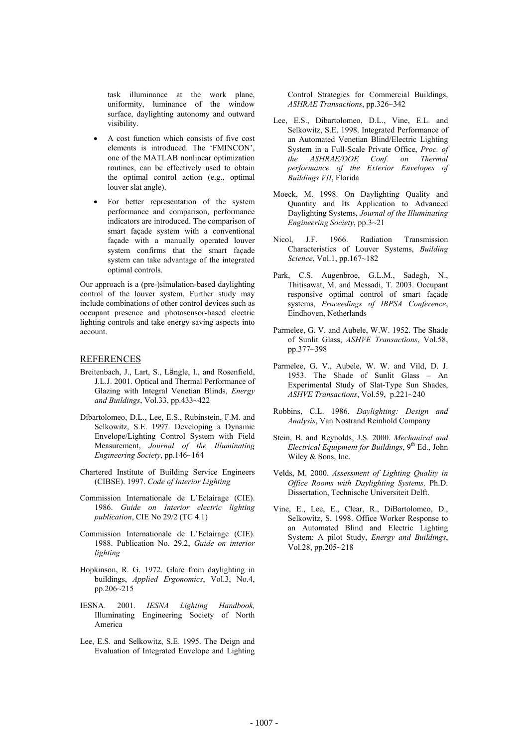task illuminance at the work plane, uniformity, luminance of the window surface, daylighting autonomy and outward visibility.

- A cost function which consists of five cost elements is introduced. The 'FMINCON', one of the MATLAB nonlinear optimization routines, can be effectively used to obtain the optimal control action (e.g., optimal louver slat angle).
- For better representation of the system performance and comparison, performance indicators are introduced. The comparison of smart façade system with a conventional façade with a manually operated louver system confirms that the smart façade system can take advantage of the integrated optimal controls.

Our approach is a (pre-)simulation-based daylighting control of the louver system. Further study may include combinations of other control devices such as occupant presence and photosensor-based electric lighting controls and take energy saving aspects into account.

#### **REFERENCES**

- Breitenbach, J., Lart, S., Längle, I., and Rosenfield, J.L.J. 2001. Optical and Thermal Performance of Glazing with Integral Venetian Blinds, *Energy and Buildings*, Vol.33, pp.433~422
- Dibartolomeo, D.L., Lee, E.S., Rubinstein, F.M. and Selkowitz, S.E. 1997. Developing a Dynamic Envelope/Lighting Control System with Field Measurement, *Journal of the Illuminating Engineering Society*, pp.146~164
- Chartered Institute of Building Service Engineers (CIBSE). 1997. *Code of Interior Lighting*
- Commission Internationale de L'Eclairage (CIE). 1986. *Guide on Interior electric lighting publication*, CIE No 29/2 (TC 4.1)
- Commission Internationale de L'Eclairage (CIE). 1988. Publication No. 29.2, *Guide on interior lighting*
- Hopkinson, R. G. 1972. Glare from daylighting in buildings, *Applied Ergonomics*, Vol.3, No.4, pp.206~215
- IESNA. 2001. *IESNA Lighting Handbook,*  Illuminating Engineering Society of North America
- Lee, E.S. and Selkowitz, S.E. 1995. The Deign and Evaluation of Integrated Envelope and Lighting

Control Strategies for Commercial Buildings, *ASHRAE Transactions*, pp.326~342

- Lee, E.S., Dibartolomeo, D.L., Vine, E.L. and Selkowitz, S.E. 1998. Integrated Performance of an Automated Venetian Blind/Electric Lighting System in a Full-Scale Private Office, *Proc. of the ASHRAE/DOE Conf. on Thermal performance of the Exterior Envelopes of Buildings VII*, Florida
- Moeck, M. 1998. On Daylighting Quality and Quantity and Its Application to Advanced Daylighting Systems, *Journal of the Illuminating Engineering Society*, pp.3~21
- Nicol, J.F. 1966. Radiation Transmission Characteristics of Louver Systems, *Building Science*, Vol.1, pp.167~182
- Park, C.S. Augenbroe, G.L.M., Sadegh, N., Thitisawat, M. and Messadi, T. 2003. Occupant responsive optimal control of smart façade systems, *Proceedings of IBPSA Conference*, Eindhoven, Netherlands
- Parmelee, G. V. and Aubele, W.W. 1952. The Shade of Sunlit Glass, *ASHVE Transactions*, Vol.58, pp.377~398
- Parmelee, G. V., Aubele, W. W. and Vild, D. J. 1953. The Shade of Sunlit Glass – An Experimental Study of Slat-Type Sun Shades, *ASHVE Transactions*, Vol.59, p.221~240
- Robbins, C.L. 1986. *Daylighting: Design and Analysis*, Van Nostrand Reinhold Company
- Stein, B. and Reynolds, J.S. 2000. *Mechanical and Electrical Equipment for Buildings*, 9<sup>th</sup> Ed., John Wiley & Sons, Inc.
- Velds, M. 2000. *Assessment of Lighting Quality in Office Rooms with Daylighting Systems,* Ph.D. Dissertation, Technische Universiteit Delft.
- Vine, E., Lee, E., Clear, R., DiBartolomeo, D., Selkowitz, S. 1998. Office Worker Response to an Automated Blind and Electric Lighting System: A pilot Study, *Energy and Buildings*, Vol.28, pp.205~218